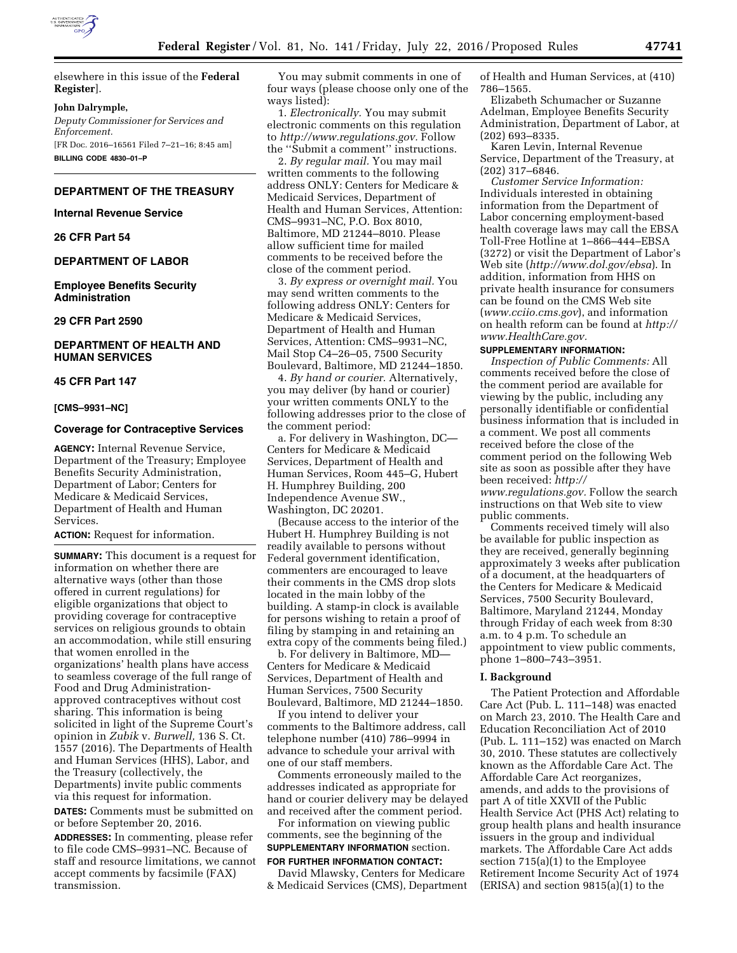

elsewhere in this issue of the **Federal Register**].

#### **John Dalrymple,**

*Deputy Commissioner for Services and Enforcement.*  [FR Doc. 2016–16561 Filed 7–21–16; 8:45 am]

**BILLING CODE 4830–01–P** 

## **DEPARTMENT OF THE TREASURY**

#### **Internal Revenue Service**

**26 CFR Part 54** 

# **DEPARTMENT OF LABOR**

**Employee Benefits Security Administration** 

## **29 CFR Part 2590**

## **DEPARTMENT OF HEALTH AND HUMAN SERVICES**

#### **45 CFR Part 147**

#### **[CMS–9931–NC]**

#### **Coverage for Contraceptive Services**

**AGENCY:** Internal Revenue Service, Department of the Treasury; Employee Benefits Security Administration, Department of Labor; Centers for Medicare & Medicaid Services, Department of Health and Human Services.

## **ACTION:** Request for information.

**SUMMARY:** This document is a request for information on whether there are alternative ways (other than those offered in current regulations) for eligible organizations that object to providing coverage for contraceptive services on religious grounds to obtain an accommodation, while still ensuring that women enrolled in the organizations' health plans have access to seamless coverage of the full range of Food and Drug Administrationapproved contraceptives without cost sharing. This information is being solicited in light of the Supreme Court's opinion in *Zubik* v. *Burwell,* 136 S. Ct. 1557 (2016). The Departments of Health and Human Services (HHS), Labor, and the Treasury (collectively, the Departments) invite public comments via this request for information.

**DATES:** Comments must be submitted on or before September 20, 2016.

**ADDRESSES:** In commenting, please refer to file code CMS–9931–NC. Because of staff and resource limitations, we cannot accept comments by facsimile (FAX) transmission.

You may submit comments in one of four ways (please choose only one of the ways listed):

1. *Electronically.* You may submit electronic comments on this regulation to *[http://www.regulations.gov.](http://www.regulations.gov)* Follow the ''Submit a comment'' instructions.

2. *By regular mail.* You may mail written comments to the following address ONLY: Centers for Medicare & Medicaid Services, Department of Health and Human Services, Attention: CMS–9931–NC, P.O. Box 8010, Baltimore, MD 21244–8010. Please allow sufficient time for mailed comments to be received before the close of the comment period.

3. *By express or overnight mail.* You may send written comments to the following address ONLY: Centers for Medicare & Medicaid Services, Department of Health and Human Services, Attention: CMS–9931–NC, Mail Stop C4–26–05, 7500 Security Boulevard, Baltimore, MD 21244–1850.

4. *By hand or courier.* Alternatively, you may deliver (by hand or courier) your written comments ONLY to the following addresses prior to the close of the comment period:

a. For delivery in Washington, DC— Centers for Medicare & Medicaid Services, Department of Health and Human Services, Room 445–G, Hubert H. Humphrey Building, 200 Independence Avenue SW., Washington, DC 20201.

(Because access to the interior of the Hubert H. Humphrey Building is not readily available to persons without Federal government identification, commenters are encouraged to leave their comments in the CMS drop slots located in the main lobby of the building. A stamp-in clock is available for persons wishing to retain a proof of filing by stamping in and retaining an extra copy of the comments being filed.)

b. For delivery in Baltimore, MD— Centers for Medicare & Medicaid Services, Department of Health and Human Services, 7500 Security Boulevard, Baltimore, MD 21244–1850.

If you intend to deliver your comments to the Baltimore address, call telephone number (410) 786–9994 in advance to schedule your arrival with one of our staff members.

Comments erroneously mailed to the addresses indicated as appropriate for hand or courier delivery may be delayed and received after the comment period.

For information on viewing public comments, see the beginning of the **SUPPLEMENTARY INFORMATION** section.

# **FOR FURTHER INFORMATION CONTACT:**

David Mlawsky, Centers for Medicare & Medicaid Services (CMS), Department of Health and Human Services, at (410) 786–1565.

Elizabeth Schumacher or Suzanne Adelman, Employee Benefits Security Administration, Department of Labor, at (202) 693–8335.

Karen Levin, Internal Revenue Service, Department of the Treasury, at (202) 317–6846.

*Customer Service Information:*  Individuals interested in obtaining information from the Department of Labor concerning employment-based health coverage laws may call the EBSA Toll-Free Hotline at 1–866–444–EBSA (3272) or visit the Department of Labor's Web site (*<http://www.dol.gov/ebsa>*). In addition, information from HHS on private health insurance for consumers can be found on the CMS Web site (*[www.cciio.cms.gov](http://www.cciio.cms.gov)*), and information on health reform can be found at *[http://](http://www.HealthCare.gov)  [www.HealthCare.gov.](http://www.HealthCare.gov)* 

# **SUPPLEMENTARY INFORMATION:**

*Inspection of Public Comments:* All comments received before the close of the comment period are available for viewing by the public, including any personally identifiable or confidential business information that is included in a comment. We post all comments received before the close of the comment period on the following Web site as soon as possible after they have been received: *[http://](http://www.regulations.gov) [www.regulations.gov.](http://www.regulations.gov)* Follow the search instructions on that Web site to view public comments.

Comments received timely will also be available for public inspection as they are received, generally beginning approximately 3 weeks after publication of a document, at the headquarters of the Centers for Medicare & Medicaid Services, 7500 Security Boulevard, Baltimore, Maryland 21244, Monday through Friday of each week from 8:30 a.m. to 4 p.m. To schedule an appointment to view public comments, phone 1–800–743–3951.

#### **I. Background**

The Patient Protection and Affordable Care Act (Pub. L. 111–148) was enacted on March 23, 2010. The Health Care and Education Reconciliation Act of 2010 (Pub. L. 111–152) was enacted on March 30, 2010. These statutes are collectively known as the Affordable Care Act. The Affordable Care Act reorganizes, amends, and adds to the provisions of part A of title XXVII of the Public Health Service Act (PHS Act) relating to group health plans and health insurance issuers in the group and individual markets. The Affordable Care Act adds section 715(a)(1) to the Employee Retirement Income Security Act of 1974 (ERISA) and section 9815(a)(1) to the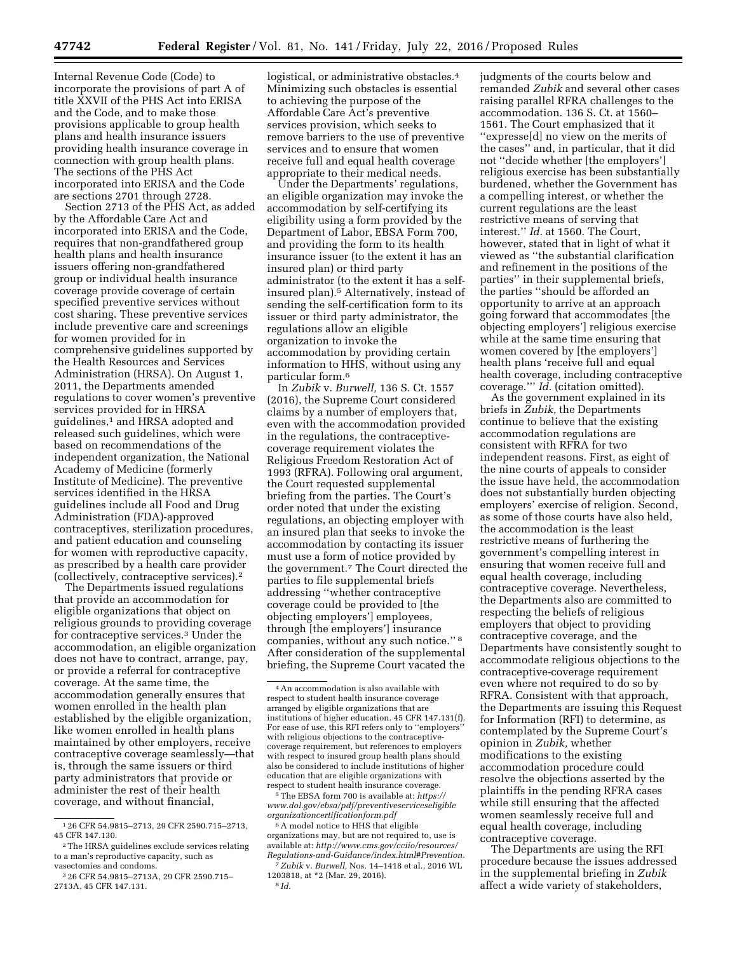Internal Revenue Code (Code) to incorporate the provisions of part A of title XXVII of the PHS Act into ERISA and the Code, and to make those provisions applicable to group health plans and health insurance issuers providing health insurance coverage in connection with group health plans. The sections of the PHS Act incorporated into ERISA and the Code are sections 2701 through 2728.

Section 2713 of the PHS Act, as added by the Affordable Care Act and incorporated into ERISA and the Code, requires that non-grandfathered group health plans and health insurance issuers offering non-grandfathered group or individual health insurance coverage provide coverage of certain specified preventive services without cost sharing. These preventive services include preventive care and screenings for women provided for in comprehensive guidelines supported by the Health Resources and Services Administration (HRSA). On August 1, 2011, the Departments amended regulations to cover women's preventive services provided for in HRSA guidelines,1 and HRSA adopted and released such guidelines, which were based on recommendations of the independent organization, the National Academy of Medicine (formerly Institute of Medicine). The preventive services identified in the HRSA guidelines include all Food and Drug Administration (FDA)-approved contraceptives, sterilization procedures, and patient education and counseling for women with reproductive capacity, as prescribed by a health care provider (collectively, contraceptive services).2

The Departments issued regulations that provide an accommodation for eligible organizations that object on religious grounds to providing coverage for contraceptive services.3 Under the accommodation, an eligible organization does not have to contract, arrange, pay, or provide a referral for contraceptive coverage. At the same time, the accommodation generally ensures that women enrolled in the health plan established by the eligible organization, like women enrolled in health plans maintained by other employers, receive contraceptive coverage seamlessly—that is, through the same issuers or third party administrators that provide or administer the rest of their health coverage, and without financial,

logistical, or administrative obstacles.4 Minimizing such obstacles is essential to achieving the purpose of the Affordable Care Act's preventive services provision, which seeks to remove barriers to the use of preventive services and to ensure that women receive full and equal health coverage appropriate to their medical needs.

Under the Departments' regulations, an eligible organization may invoke the accommodation by self-certifying its eligibility using a form provided by the Department of Labor, EBSA Form 700, and providing the form to its health insurance issuer (to the extent it has an insured plan) or third party administrator (to the extent it has a selfinsured plan).5 Alternatively, instead of sending the self-certification form to its issuer or third party administrator, the regulations allow an eligible organization to invoke the accommodation by providing certain information to HHS, without using any particular form.6

In *Zubik* v. *Burwell,* 136 S. Ct. 1557 (2016), the Supreme Court considered claims by a number of employers that, even with the accommodation provided in the regulations, the contraceptivecoverage requirement violates the Religious Freedom Restoration Act of 1993 (RFRA). Following oral argument, the Court requested supplemental briefing from the parties. The Court's order noted that under the existing regulations, an objecting employer with an insured plan that seeks to invoke the accommodation by contacting its issuer must use a form of notice provided by the government.7 The Court directed the parties to file supplemental briefs addressing ''whether contraceptive coverage could be provided to [the objecting employers'] employees, through [the employers'] insurance companies, without any such notice.'' 8 After consideration of the supplemental briefing, the Supreme Court vacated the

5The EBSA form 700 is available at: *[https://](https://www.dol.gov/ebsa/pdf/preventiveserviceseligibleorganizationcertificationform.pdf) [www.dol.gov/ebsa/pdf/preventiveserviceseligible](https://www.dol.gov/ebsa/pdf/preventiveserviceseligibleorganizationcertificationform.pdf) [organizationcertificationform.pdf](https://www.dol.gov/ebsa/pdf/preventiveserviceseligibleorganizationcertificationform.pdf)* 

<sup>6</sup> A model notice to HHS that eligible organizations may, but are not required to, use is available at: *[http://www.cms.gov/cciio/resources/](http://www.cms.gov/cciio/resources/Regulations-and-Guidance/index.html#Prevention) [Regulations-and-Guidance/index.html#Prevention.](http://www.cms.gov/cciio/resources/Regulations-and-Guidance/index.html#Prevention)* 

7*Zubik* v. *Burwell,* Nos. 14–1418 et al., 2016 WL 1203818, at \*2 (Mar. 29, 2016). 8 *Id.* 

judgments of the courts below and remanded *Zubik* and several other cases raising parallel RFRA challenges to the accommodation. 136 S. Ct. at 1560– 1561. The Court emphasized that it ''expresse[d] no view on the merits of the cases'' and, in particular, that it did not ''decide whether [the employers'] religious exercise has been substantially burdened, whether the Government has a compelling interest, or whether the current regulations are the least restrictive means of serving that interest.'' *Id.* at 1560. The Court, however, stated that in light of what it viewed as ''the substantial clarification and refinement in the positions of the parties'' in their supplemental briefs, the parties ''should be afforded an opportunity to arrive at an approach going forward that accommodates [the objecting employers'] religious exercise while at the same time ensuring that women covered by [the employers'] health plans 'receive full and equal health coverage, including contraceptive coverage.''' *Id.* (citation omitted).

As the government explained in its briefs in *Zubik,* the Departments continue to believe that the existing accommodation regulations are consistent with RFRA for two independent reasons. First, as eight of the nine courts of appeals to consider the issue have held, the accommodation does not substantially burden objecting employers' exercise of religion. Second, as some of those courts have also held, the accommodation is the least restrictive means of furthering the government's compelling interest in ensuring that women receive full and equal health coverage, including contraceptive coverage. Nevertheless, the Departments also are committed to respecting the beliefs of religious employers that object to providing contraceptive coverage, and the Departments have consistently sought to accommodate religious objections to the contraceptive-coverage requirement even where not required to do so by RFRA. Consistent with that approach, the Departments are issuing this Request for Information (RFI) to determine, as contemplated by the Supreme Court's opinion in *Zubik,* whether modifications to the existing accommodation procedure could resolve the objections asserted by the plaintiffs in the pending RFRA cases while still ensuring that the affected women seamlessly receive full and equal health coverage, including contraceptive coverage.

The Departments are using the RFI procedure because the issues addressed in the supplemental briefing in *Zubik*  affect a wide variety of stakeholders,

<sup>1</sup> 26 CFR 54.9815–2713, 29 CFR 2590.715–2713, 45 CFR 147.130.

<sup>2</sup>The HRSA guidelines exclude services relating to a man's reproductive capacity, such as vasectomies and condoms.

<sup>3</sup> 26 CFR 54.9815–2713A, 29 CFR 2590.715– 2713A, 45 CFR 147.131.

<sup>4</sup>An accommodation is also available with respect to student health insurance coverage arranged by eligible organizations that are institutions of higher education. 45 CFR 147.131(f). For ease of use, this RFI refers only to "employers" with religious objections to the contraceptivecoverage requirement, but references to employers with respect to insured group health plans should also be considered to include institutions of higher education that are eligible organizations with respect to student health insurance coverage.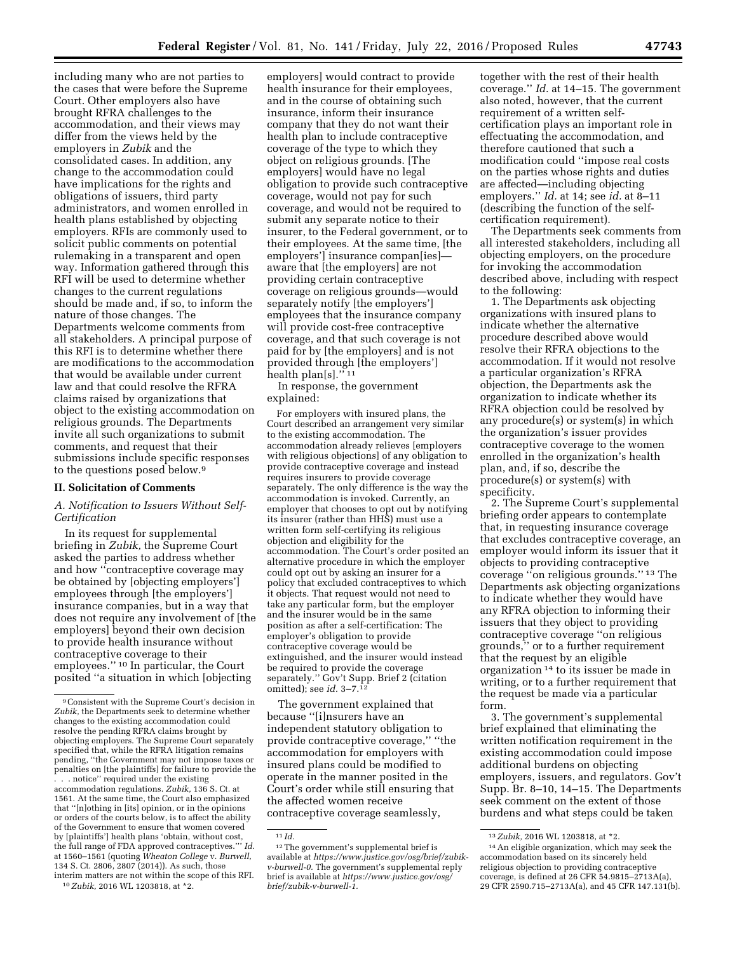including many who are not parties to the cases that were before the Supreme Court. Other employers also have brought RFRA challenges to the accommodation, and their views may differ from the views held by the employers in *Zubik* and the consolidated cases. In addition, any change to the accommodation could have implications for the rights and obligations of issuers, third party administrators, and women enrolled in health plans established by objecting employers. RFIs are commonly used to solicit public comments on potential rulemaking in a transparent and open way. Information gathered through this RFI will be used to determine whether changes to the current regulations should be made and, if so, to inform the nature of those changes. The Departments welcome comments from all stakeholders. A principal purpose of this RFI is to determine whether there are modifications to the accommodation that would be available under current law and that could resolve the RFRA claims raised by organizations that object to the existing accommodation on religious grounds. The Departments invite all such organizations to submit comments, and request that their submissions include specific responses to the questions posed below.9

# **II. Solicitation of Comments**

# *A. Notification to Issuers Without Self-Certification*

In its request for supplemental briefing in *Zubik,* the Supreme Court asked the parties to address whether and how ''contraceptive coverage may be obtained by [objecting employers'] employees through [the employers'] insurance companies, but in a way that does not require any involvement of [the employers] beyond their own decision to provide health insurance without contraceptive coverage to their employees.'' 10 In particular, the Court posited ''a situation in which [objecting

10*Zubik,* 2016 WL 1203818, at \*2.

employers] would contract to provide health insurance for their employees, and in the course of obtaining such insurance, inform their insurance company that they do not want their health plan to include contraceptive coverage of the type to which they object on religious grounds. [The employers] would have no legal obligation to provide such contraceptive coverage, would not pay for such coverage, and would not be required to submit any separate notice to their insurer, to the Federal government, or to their employees. At the same time, [the employers'] insurance compan[ies] aware that [the employers] are not providing certain contraceptive coverage on religious grounds—would separately notify [the employers'] employees that the insurance company will provide cost-free contraceptive coverage, and that such coverage is not paid for by [the employers] and is not provided through [the employers'] health plan[s].'' 11

In response, the government explained:

For employers with insured plans, the Court described an arrangement very similar to the existing accommodation. The accommodation already relieves [employers with religious objections] of any obligation to provide contraceptive coverage and instead requires insurers to provide coverage separately. The only difference is the way the accommodation is invoked. Currently, an employer that chooses to opt out by notifying its insurer (rather than HHS) must use a written form self-certifying its religious objection and eligibility for the accommodation. The Court's order posited an alternative procedure in which the employer could opt out by asking an insurer for a policy that excluded contraceptives to which it objects. That request would not need to take any particular form, but the employer and the insurer would be in the same position as after a self-certification: The employer's obligation to provide contraceptive coverage would be extinguished, and the insurer would instead be required to provide the coverage separately." Gov't Supp. Brief 2 (citation omitted); see *id.* 3–7.12

The government explained that because ''[i]nsurers have an independent statutory obligation to provide contraceptive coverage,'' ''the accommodation for employers with insured plans could be modified to operate in the manner posited in the Court's order while still ensuring that the affected women receive

contraceptive coverage seamlessly,

together with the rest of their health coverage.'' *Id.* at 14–15. The government also noted, however, that the current requirement of a written selfcertification plays an important role in effectuating the accommodation, and therefore cautioned that such a modification could ''impose real costs on the parties whose rights and duties are affected—including objecting employers.'' *Id.* at 14; see *id.* at 8–11 (describing the function of the selfcertification requirement).

The Departments seek comments from all interested stakeholders, including all objecting employers, on the procedure for invoking the accommodation described above, including with respect to the following:

1. The Departments ask objecting organizations with insured plans to indicate whether the alternative procedure described above would resolve their RFRA objections to the accommodation. If it would not resolve a particular organization's RFRA objection, the Departments ask the organization to indicate whether its RFRA objection could be resolved by any procedure(s) or system(s) in which the organization's issuer provides contraceptive coverage to the women enrolled in the organization's health plan, and, if so, describe the procedure(s) or system(s) with specificity.

2. The Supreme Court's supplemental briefing order appears to contemplate that, in requesting insurance coverage that excludes contraceptive coverage, an employer would inform its issuer that it objects to providing contraceptive coverage ''on religious grounds.'' 13 The Departments ask objecting organizations to indicate whether they would have any RFRA objection to informing their issuers that they object to providing contraceptive coverage ''on religious grounds,'' or to a further requirement that the request by an eligible organization 14 to its issuer be made in writing, or to a further requirement that the request be made via a particular form.

3. The government's supplemental brief explained that eliminating the written notification requirement in the existing accommodation could impose additional burdens on objecting employers, issuers, and regulators. Gov't Supp. Br. 8–10, 14–15. The Departments seek comment on the extent of those burdens and what steps could be taken

<sup>9</sup>Consistent with the Supreme Court's decision in *Zubik,* the Departments seek to determine whether changes to the existing accommodation could resolve the pending RFRA claims brought by objecting employers. The Supreme Court separately specified that, while the RFRA litigation remains pending, ''the Government may not impose taxes or penalties on [the plaintiffs] for failure to provide the . . . notice'' required under the existing accommodation regulations. *Zubik,* 136 S. Ct. at 1561. At the same time, the Court also emphasized that ''[n]othing in [its] opinion, or in the opinions or orders of the courts below, is to affect the ability of the Government to ensure that women covered by [plaintiffs'] health plans 'obtain, without cost, the full range of FDA approved contraceptives.''' *Id.*  at 1560–1561 (quoting *Wheaton College* v. *Burwell,*  134 S. Ct. 2806, 2807 (2014)). As such, those interim matters are not within the scope of this RFI.

 $^{11}\mathit{Id}.$ 

<sup>12</sup>The government's supplemental brief is available at *[https://www.justice.gov/osg/brief/zubik](https://www.justice.gov/osg/brief/zubik-v-burwell-0)[v-burwell-0.](https://www.justice.gov/osg/brief/zubik-v-burwell-0)* The government's supplemental reply brief is available at *[https://www.justice.gov/osg/](https://www.justice.gov/osg/brief/zubik-v-burwell-1) [brief/zubik-v-burwell-1.](https://www.justice.gov/osg/brief/zubik-v-burwell-1)* 

<sup>13</sup>*Zubik,* 2016 WL 1203818, at \*2.

<sup>14</sup>An eligible organization, which may seek the accommodation based on its sincerely held religious objection to providing contraceptive coverage, is defined at 26 CFR 54.9815–2713A(a), 29 CFR 2590.715–2713A(a), and 45 CFR 147.131(b).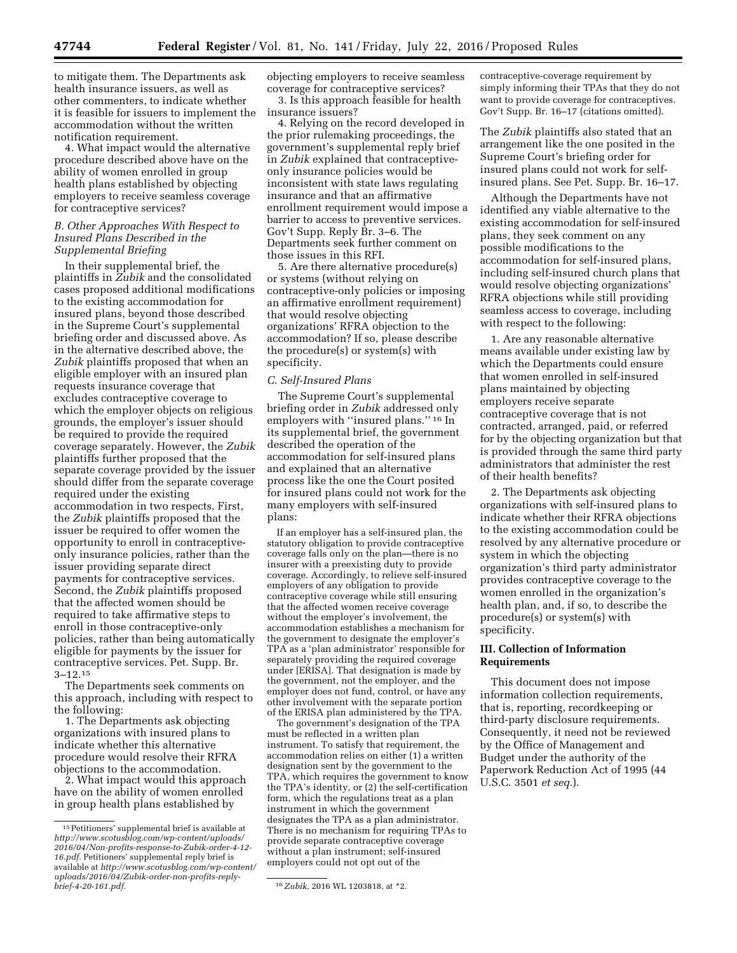to mitigate them. The Departments ask health insurance issuers, as well as other commenters, to indicate whether it is feasible for issuers to implement the accommodation without the written notification requirement.

4. What impact would the alternative procedure described above have on the ability of women enrolled in group health plans established by objecting employers to receive seamless coverage for contraceptive services?

## *B. Other Approaches With Respect to Insured Plans Described in the Supplemental Briefing*

In their supplemental brief, the plaintiffs in *Zubik* and the consolidated cases proposed additional modifications to the existing accommodation for insured plans, beyond those described in the Supreme Court's supplemental briefing order and discussed above. As in the alternative described above, the *Zubik* plaintiffs proposed that when an eligible employer with an insured plan requests insurance coverage that excludes contraceptive coverage to which the employer objects on religious grounds, the employer's issuer should be required to provide the required coverage separately. However, the *Zubik*  plaintiffs further proposed that the separate coverage provided by the issuer should differ from the separate coverage required under the existing accommodation in two respects. First, the *Zubik* plaintiffs proposed that the issuer be required to offer women the opportunity to enroll in contraceptiveonly insurance policies, rather than the issuer providing separate direct payments for contraceptive services. Second, the *Zubik* plaintiffs proposed that the affected women should be required to take affirmative steps to enroll in those contraceptive-only policies, rather than being automatically eligible for payments by the issuer for contraceptive services. Pet. Supp. Br. 3–12.15

The Departments seek comments on this approach, including with respect to the following:

1. The Departments ask objecting organizations with insured plans to indicate whether this alternative procedure would resolve their RFRA objections to the accommodation.

2. What impact would this approach have on the ability of women enrolled in group health plans established by

objecting employers to receive seamless coverage for contraceptive services? 3. Is this approach feasible for health insurance issuers?

4. Relying on the record developed in the prior rulemaking proceedings, the government's supplemental reply brief in *Zubik* explained that contraceptiveonly insurance policies would be inconsistent with state laws regulating insurance and that an affirmative enrollment requirement would impose a barrier to access to preventive services. Gov't Supp. Reply Br. 3–6. The Departments seek further comment on those issues in this RFI.

5. Are there alternative procedure(s) or systems (without relying on contraceptive-only policies or imposing an affirmative enrollment requirement) that would resolve objecting organizations' RFRA objection to the accommodation? If so, please describe the procedure(s) or system(s) with specificity.

## *C. Self-Insured Plans*

The Supreme Court's supplemental briefing order in *Zubik* addressed only employers with ''insured plans.'' 16 In its supplemental brief, the government described the operation of the accommodation for self-insured plans and explained that an alternative process like the one the Court posited for insured plans could not work for the many employers with self-insured plans:

If an employer has a self-insured plan, the statutory obligation to provide contraceptive coverage falls only on the plan—there is no insurer with a preexisting duty to provide coverage. Accordingly, to relieve self-insured employers of any obligation to provide contraceptive coverage while still ensuring that the affected women receive coverage without the employer's involvement, the accommodation establishes a mechanism for the government to designate the employer's TPA as a 'plan administrator' responsible for separately providing the required coverage under [ERISA]. That designation is made by the government, not the employer, and the employer does not fund, control, or have any other involvement with the separate portion of the ERISA plan administered by the TPA.

The government's designation of the TPA must be reflected in a written plan instrument. To satisfy that requirement, the accommodation relies on either (1) a written designation sent by the government to the TPA, which requires the government to know the TPA's identity, or (2) the self-certification form, which the regulations treat as a plan instrument in which the government designates the TPA as a plan administrator. There is no mechanism for requiring TPAs to provide separate contraceptive coverage without a plan instrument; self-insured employers could not opt out of the

contraceptive-coverage requirement by simply informing their TPAs that they do not want to provide coverage for contraceptives. Gov't Supp. Br. 16–17 (citations omitted).

The *Zubik* plaintiffs also stated that an arrangement like the one posited in the Supreme Court's briefing order for insured plans could not work for selfinsured plans. See Pet. Supp. Br. 16–17.

Although the Departments have not identified any viable alternative to the existing accommodation for self-insured plans, they seek comment on any possible modifications to the accommodation for self-insured plans, including self-insured church plans that would resolve objecting organizations' RFRA objections while still providing seamless access to coverage, including with respect to the following:

1. Are any reasonable alternative means available under existing law by which the Departments could ensure that women enrolled in self-insured plans maintained by objecting employers receive separate contraceptive coverage that is not contracted, arranged, paid, or referred for by the objecting organization but that is provided through the same third party administrators that administer the rest of their health benefits?

2. The Departments ask objecting organizations with self-insured plans to indicate whether their RFRA objections to the existing accommodation could be resolved by any alternative procedure or system in which the objecting organization's third party administrator provides contraceptive coverage to the women enrolled in the organization's health plan, and, if so, to describe the procedure(s) or system(s) with specificity.

# **III. Collection of Information Requirements**

This document does not impose information collection requirements, that is, reporting, recordkeeping or third-party disclosure requirements. Consequently, it need not be reviewed by the Office of Management and Budget under the authority of the Paperwork Reduction Act of 1995 (44 U.S.C. 3501 *et seq.*).

<sup>15</sup>Petitioners' supplemental brief is available at *[http://www.scotusblog.com/wp-content/uploads/](http://www.scotusblog.com/wp-content/uploads/2016/04/Non-profits-response-to-Zubik-order-4-12-16.pdf) [2016/04/Non-profits-response-to-Zubik-order-4-12-](http://www.scotusblog.com/wp-content/uploads/2016/04/Non-profits-response-to-Zubik-order-4-12-16.pdf) [16.pdf.](http://www.scotusblog.com/wp-content/uploads/2016/04/Non-profits-response-to-Zubik-order-4-12-16.pdf)* Petitioners' supplemental reply brief is available at *[http://www.scotusblog.com/wp-content/](http://www.scotusblog.com/wp-content/uploads/2016/04/Zubik-order-non-profits-reply-brief-4-20-161.pdf)  [uploads/2016/04/Zubik-order-non-profits-reply-](http://www.scotusblog.com/wp-content/uploads/2016/04/Zubik-order-non-profits-reply-brief-4-20-161.pdf)*

*[brief-4-20-161.pdf.](http://www.scotusblog.com/wp-content/uploads/2016/04/Zubik-order-non-profits-reply-brief-4-20-161.pdf)* 16*Zubik,* 2016 WL 1203818, at \*2.